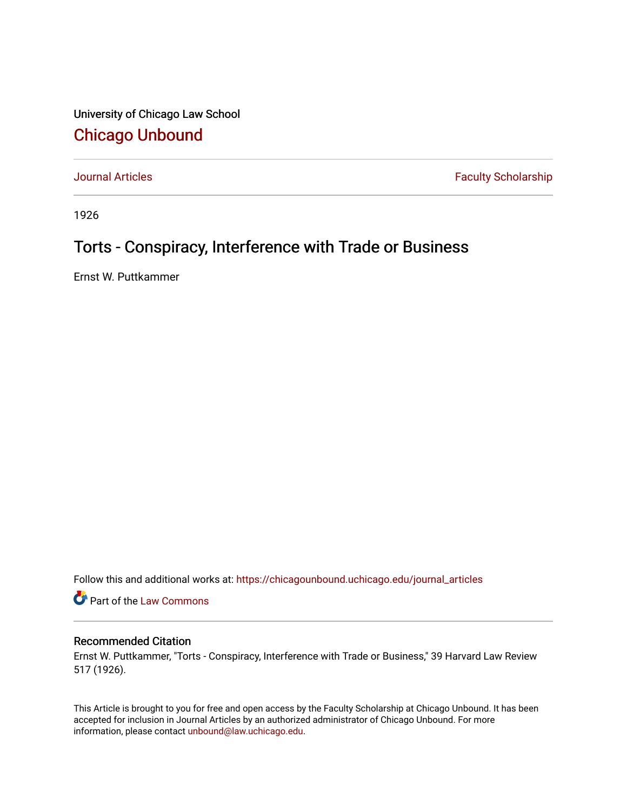University of Chicago Law School [Chicago Unbound](https://chicagounbound.uchicago.edu/)

[Journal Articles](https://chicagounbound.uchicago.edu/journal_articles) **Faculty Scholarship Faculty Scholarship** 

1926

## Torts - Conspiracy, Interference with Trade or Business

Ernst W. Puttkammer

Follow this and additional works at: [https://chicagounbound.uchicago.edu/journal\\_articles](https://chicagounbound.uchicago.edu/journal_articles?utm_source=chicagounbound.uchicago.edu%2Fjournal_articles%2F9548&utm_medium=PDF&utm_campaign=PDFCoverPages) 

Part of the [Law Commons](http://network.bepress.com/hgg/discipline/578?utm_source=chicagounbound.uchicago.edu%2Fjournal_articles%2F9548&utm_medium=PDF&utm_campaign=PDFCoverPages)

## Recommended Citation

Ernst W. Puttkammer, "Torts - Conspiracy, Interference with Trade or Business," 39 Harvard Law Review 517 (1926).

This Article is brought to you for free and open access by the Faculty Scholarship at Chicago Unbound. It has been accepted for inclusion in Journal Articles by an authorized administrator of Chicago Unbound. For more information, please contact [unbound@law.uchicago.edu](mailto:unbound@law.uchicago.edu).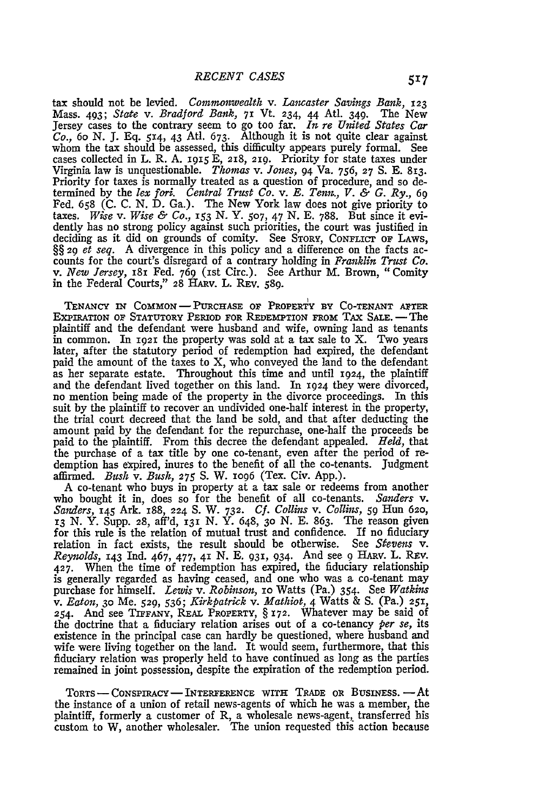tax should not be levied. *Commonwealth v. Lancaster Savings Bank, 123* Mass. 493; *State v. Bradford Bank,* **71** Vt. 234, 44 Atl. 349. The New Jersey cases to the contrary seem to go too far. *In re United States Car Co.*, 60 N. J. Eq. 514, 43 Atl. 673. Although it is not quite clear agains whom the tax should be assessed, this difficulty appears purely formal. See cases collected in L. R. A. i915 E, 218, 219. Priority for state taxes under Virginia law is unquestionable. *Thomas v. Jones,* 94 Va. 756, **27** S. E. 813. Priority for taxes is normally treated as a question of procedure, and so determined by the *lex fori. Central Trust Co. v. E. Tenn., V. & G. Ry., 69* Fed. 658 (C. C. N. D. Ga.). The New York law does not give priority to taxes. *Wise v. Wise & Co., i53* N. Y. **507,** 47 N. E. 788. But since it evidently has no strong policy against such priorities, the court was justified in deciding as it did on grounds of comity. See STORY, CONFLICT OF LAWS, §§ 29 et seq. A divergence in this policy and a difference on the facts accounts for the court's disregard of a contrary holding in *Franklin Trust Co. v. New Jersey,* 18i Fed. 769 (1st Circ.). See Arthur M. Brown, "Comity in the Federal Courts," **28** HARv. L. REv. 589.

**TENANCY IN COMMON** - **PURCHASE** OF PROPERTY **BY CO-TENANT AFTER** EXPIRATION OF STATUTORY PERIOD FOR REDEMPTION FROM TAX SALE. - The plaintiff and the defendant were husband and wife, owning land as tenants in common. In **1921** the property was sold at a tax sale to X. Two years later, after the statutory period of redemption had expired, the defendant paid the amount of the taxes to X, who conveyed the land to the defendant as her separate estate. Throughout this time and until 1924, the plaintiff and the defendant lived together on this land. In 1924 they were divorced, no mention being made of the property in the divorce proceedings. In this suit by the plaintiff to recover an undivided one-half interest in the property, the trial court decreed that the land be sold, and that after deducting the amount paid by the defendant for the repurchase, one-half the proceeds be paid to the plaintiff. From this decree the defendant appealed. *Held,* that the purchase of a tax title by one co-tenant, even after the period of redemption has expired, inures to the benefit of all the co-tenants. Judgment affirmed. *Bush v. Bush,* **275 S.** W. io96 (Tex. Civ. App.).

A co-tenant who buys in property at a tax sale or redeems from another who bought it in, does so for the benefit of all co-tenants. *Sanders v. Sanders,* **145** Ark. i88, 224 **S.** W. **732.** *Cf. Collins v. Collins, 59* Hun **620,** *13* N. Y. Supp. **28,** aff'd, **131** N. Y. 648, **30** N. E. 863. The reason given for this rule is the relation of mutual trust and confidence. If no fiduciary relation in fact exists, the result should be otherwise. See *Stevens* v. *Reynolds,* **143** Ind. 467, 477, 41 N. E. 931, 934. And see 9 HARv. L. REv. 427. When the time of redemption has expired, the fiduciary relationship is generally regarded as having ceased, and one who was a co-tenant may purchase for himself. *Lewis v. Robinson,* io Watts (Pa.) 354. See *Watkins v. Eaton,* **30** Me. **529,** *536; Kirkpatrick v. Mathiot,* 4 Watts & S. (Pa.) **251,** 254. And see **TIFFANY,** REAL PROPERTY, § 172. Whatever may be said of the doctrine that a fiduciary relation arises out of a co-tenancy *per se,* its existence in the principal case can hardly be questioned, where husband and wife were living together on the land. It would seem, furthermore, that this fiduciary relation was properly held to have continued as long as the parties remained in joint possession, despite the expiration of the redemption period.

TORTS **-** CoNsPIRACY- INTERFERENCE WITH TRADE OR BUSINESs.-At the instance of a union of retail news-agents of which he was a member, the plaintiff, formerly a customer of R, a wholesale news-agent, transferred his custom to W, another wholesaler. The union requested this action because